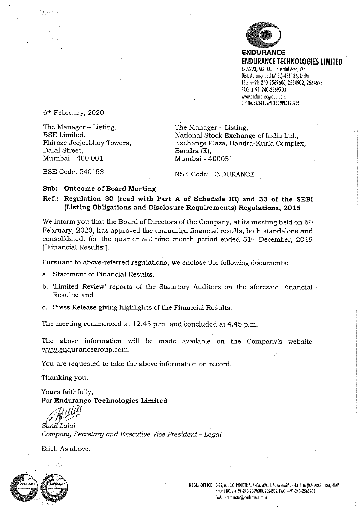

**ENDURANCE** ENDURANCE TECHNOLOGIES LIMITED E-92/93, M.I.D.C. Industrial Area, Waluj, Dist. Aurangabad (M.S.)-431136, India TEL: +91-240-2569600, 2554902, 2564595 FAX; +91-240-2569703 www.efidurancegroup.com CIN No.: L34102MH1999PLC123296

6th February, 2020

The Manager - Listing,<br>BSE Limited,<br>National Stock Exchan Dalal Street, Bandra (E), Mumbai - 400 001

National Stock Exchange of India Ltd., Phiroze Jeejeebhoy Towers, Exchange Plaza, Bandra-Kurla Complex,<br>Dalal Street, Bandra (E),

BSE Code: 540153 **and SE Code: ENDURANCE** 

#### Sub: Outcome of Board Meeting

#### Ref.: Regulation 30 (read with Part A of Schedule III) and 33 of the SEBI (Listing Obligations and Disclosure Requirements) Regulations, 2015

We inform you that the Board of Directors of the Company, at its meeting held on 6<sup>th</sup> February, 2020, has approved the unaudited financial results, both standalone and consolidated, for the quarter and nine month period ended 31st December, 2019 ("Financial Results").

Pursuant to above-referred regulations, we enclose the following documents:

a. Statement of Financial Results.

- b. Limited Review' reports of fhe Statutory Auditors on fhe aforesaid Financial Results; and
- c. Press Release giving highlights of the Financial Results.

The meeting commenced at 12.45 p.m. and concluded at 4.45 p.m.

The above information will be made available on the Company's website www.endurancegroup.com.

You are requested to take the above information on record.

Thanking you,

Yours faithfully, For Endurance Technologies Limited

Sunil Lalai Company Secretary and Executive Vice President ~ Legal

End: As above.

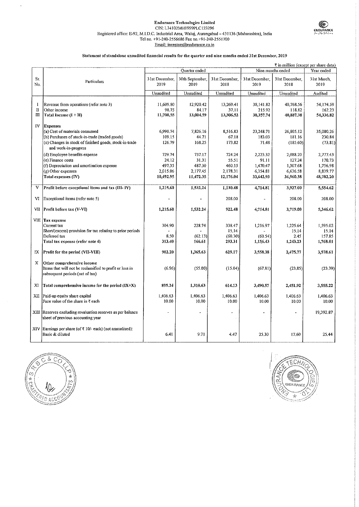#### Endurance Technologies Limited<br>
CIN: L34102MH1999PLC123296 ENDURANCE Registered office: E-92, M.I.D.C. Industrial Area, Waluj, Aurangabad - 431136 (Maharashtra), India ('', the setter of the setter Tel no. +91-240-2556686 Fax no,+91-240-2551700 Email: investors@endurance.co.in

#### Statement of standalone unnudited financial results for the quarter and nine months ended 31st December, 2019

|            |                                                                                                                           |                        |                         |                        |                        |                        | $\bar{\tau}$ in million (except per share data) |
|------------|---------------------------------------------------------------------------------------------------------------------------|------------------------|-------------------------|------------------------|------------------------|------------------------|-------------------------------------------------|
|            |                                                                                                                           |                        | Quarter ended           |                        |                        | Nine months ended      | Year ended                                      |
| Sr.<br>No. | Particulars                                                                                                               | 31st December,<br>2019 | 30th September.<br>2019 | 31st December,<br>2018 | 31st December,<br>2019 | 31st December,<br>2018 | 31st March,<br>2019                             |
|            |                                                                                                                           | Unaudited              | Unaudited               | Unaudited              | Unaudited              | Unaudited              | Audited                                         |
|            |                                                                                                                           |                        |                         |                        |                        |                        |                                                 |
| 1          | Revenue from operations (refer note 3)                                                                                    | 11,609.80              | 12,920.42               | 13,269.41              | 38,141.82              | 40,768.56              | 54,174.59                                       |
| П          | Other income                                                                                                              | 98.75                  | 84.17                   | 37.11                  | 215.92                 | 118,82                 | 162.23                                          |
| Ш          | Total Income $(I + II)$                                                                                                   | 11,708,55              | 13,004.59               | 13,306.52              | 38,357.74              | 40,887.38              | 54.336.82                                       |
| IV         | <b>Expenses</b>                                                                                                           |                        |                         |                        |                        |                        |                                                 |
|            | (a) Cost of materials consumed                                                                                            | 6,990.74               | 7,826.16                | 8,516.83               | 23,248.71              | 26,805.12              | 35,080.26                                       |
|            | (b) Purchases of stock-in-trade (traded goods)                                                                            | 109.15                 | 44.71                   | 67.18                  | 183.03                 | 181.16                 | 230.84                                          |
|            | (c) Changes in stock of finished goods, stock-in-trade                                                                    | 126.79                 | 168.25                  | 173,82                 | 71.48                  | (185.60)               | (73.81)                                         |
|            | and work-in-progress                                                                                                      |                        |                         |                        |                        |                        |                                                 |
|            | (d) Employee benefits expense                                                                                             | 729.74                 | 737.17                  | 724.24                 | 2,223.32               | 2,088.20               | 2.777.43                                        |
|            | (e) Finance costs                                                                                                         | 24.12                  | 31.31                   | 55.51                  | 91.11                  | 127.24                 | 170.73                                          |
|            | (f) Depreciation and amortisation expense                                                                                 | 497.35                 | 487.30                  | 460.15                 | 1,470,47               | 1,307.68               | 1,756.98                                        |
|            | (g) Other expenses                                                                                                        | 2,015.06               | 2,177.45                | 2,178.31               | 6,354.81               | 6,636.58               | 8,839.77                                        |
|            | Total expenses (IV)                                                                                                       | 10,492.95              | 11,472.35               | 12,176.04              | 33,642.93              | 36,960,38              | 48,782.20                                       |
| V          | Profit before exceptional items and tax (III-IV)                                                                          | 1,215.60               | 1,532.24                | 1,130.48               | 4,714.81               | 3,927.00               | 5.554.62                                        |
| VI         | Exceptional items (refer note 5)                                                                                          |                        |                         | 208.00                 |                        | 208.00                 | 208.00                                          |
| VII        | Profit before tax (V-VI)                                                                                                  | 1,215.60               | 1,532.24                | 922.48                 | 4,714.81               | 3,719.00               | 5,346.62                                        |
|            | <b>VIII Tax expense</b>                                                                                                   |                        |                         |                        |                        |                        |                                                 |
|            | Current tax                                                                                                               | 304.90                 | 228.74                  | 338.47                 | 1,216.97               | 1,225.64               | 1.595.02                                        |
|            | Short/(excess) provision for tax relating to prior periods                                                                |                        |                         | 15.14                  |                        | 15.14                  | 15.14                                           |
|            | Deferred tax                                                                                                              | 8,50                   | (62.13)                 | (60.30)                | (60.54)                | 2.45                   | 157.85                                          |
|            | Total tax expense (refer note 4)                                                                                          | 313.40                 | 166.61                  | 293.31                 | 1,156.43               | 1,243,23               | 1.768.01                                        |
| IX         | Profit for the period (VII-VIII)                                                                                          | 902.20                 | 1,365.63                | 629.17                 | 3,558.38               | 2,475.77               | 3,578,61                                        |
| х          | Other comprehensive income<br>Items that will not be reclassified to profit or loss in<br>subsequent periods (net of tax) | (6.96)                 | (55.00)                 | (15.04)                | (67, 81)               | (23.85)                | (23.39)                                         |
| XI         | Total comprehensive income for the period $(IX+X)$                                                                        | 895.24                 | 1,310.63                | 614.13                 | 3,490.57               | 2.451.92               | 3,555.22                                        |
| XП         | Paid-up equity share capital<br>Face value of the share in $\bar{\tau}$ each                                              | 1,406.63<br>10.00      | 1,406,63<br>10.00       | 1,406.63<br>10.00      | 1,406.63<br>10.00      | 1,406.63<br>10.00      | 1,406.63<br>10.00                               |
|            | XIII Reserves excluding revaluation reserves as per balance<br>sheet of previous accounting year                          |                        |                         | $\ddot{\phantom{0}}$   | $\overline{a}$         |                        | 19,392.87                                       |
| XIV        | Earnings per share (of ₹ 10/- each) (not annualised):<br>Basic & diluted                                                  | 6.41                   | 9.71                    | 4.47                   | 25.30                  | 17.60                  | 25.44                                           |



l,

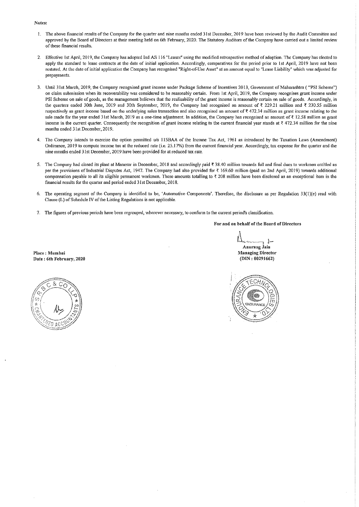Notes;

- The above financial results of the Company for the quarter and nine months ended 31st December, 2019 have been reviewed by the Audit Committee and  $\mathbf{I}$ . approved by the Board of Directors at their meeting held on 6th February, 2020. The Statutory Auditors of the Company have carried out a limited review of these financial results,
- 2. Effective 1st April, 2019, the Company has adopted Ind AS 116 "Leases" using the modified retrospective method of adoption. The Company has elected to apply the standard to lease contracts at the date of initial application. Accordingly, comparatives for the period prior to 1st April, 2019 have not been restated. At the date of initial application the Company has recognised "Right-of-Use Asset" at an amount equal to "Lease Liability" which was adjusted for prepayments.
- Until 31st March, 2019, the Company recognised grant income under Package Scheme of Incentives 2013, Government of Maharashtra ( "PSI Scheme") on claim submission when its recoverabiitty was considered to be reasonably certain. From 1st April, 2019, the Company recognises grant income under PSI Scheme on sale of goods, as the management believes that the reatisability of the grant income is reasonabiy certain on sale of goods. Accordingly, in the quarters ended 30th June, 2019 and 30th September, 2019, the Company had recognised an amount of  $\bar{x}$  229.21 million and  $\bar{x}$  230.55 million respectively as grant income based on the underlying sales transaction and also recognised an amount of ₹472.34 million as grant income relating to the sale made for the year ended 31st March, 2019 as a one-time adjustment. In addition, the Company has recognised an amount of  $\bar{\tau}$  12.58 million as grant income in the current quarter. Consequently the recognition of grant income relating to the current financial year stands at  $\bar{\tau}$  472.34 million for the nine months ended 31st December, 2019.
- The Company intends to exercise the option permitted u/s 115BAA of the Income Tax Act, 1961 as introduced by the Taxation Laws (Amendment)  $4.$ Ordinance, 2019 to compute income tax at the reduced rate (i.e. 25.17%) from the current financial year. Accordingly, tax expense for the quarter and the nine months ended 31st December, 2019 have been provided for at reduced tax rate.
- 5. The Company had closed its plant at Manesar in December, 2018 and accordingly paid ₹38.40 million towards full and final dues to workmen entitled as per the provisions of Industrial Disputes Act, 1947. The Company had also provided for ₹ 169.60 million (paid on 2nd April, 2019) towards additional compensation payable to all its eligible permanent workmen. These amounts totalling to  $\bar{\tau}$  208 million have been disclosed as an exceptional item in the financial results for the quarter and period ended 31st December, 2018.
- The operating segment of the Company is identified to be, 'Automotive Components'. Therefore, the disclosure as per Regulation 33(l)(e) read with Clause (L) of Schedule IV of the Listing Regulations is not applicable.
- 7. The figures of previous periods have been regrouped, wherever necessary, to conform to the current period's classification.

For and on behalf of the Board of Directors

Anurang Jam Managing Director (DIN:08291662)



Place: Mumbsti Date: 6th February, 2020

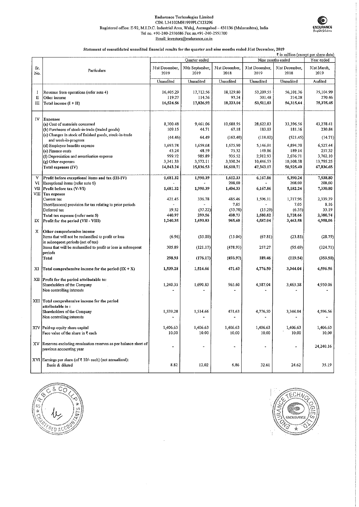#### Endurance Technologies Limited GIN: L34i02MH1999PLC123296 Registered office: E-92, M.I.D.C. Industrial Area, Wahij, Anrangabad-431136 (Maliarashtra), India Te! no. +91-240-2556686 Fax no.+91-240-2551700 Email: investors@endurance.co.in



#### Statement of consolidated unaudited financial results for the quarter and nine months ended 3Ist December, 2019

|            |                                                                                                          |                        |                         |                          |                        |                        | ₹ in million (except per share data) |
|------------|----------------------------------------------------------------------------------------------------------|------------------------|-------------------------|--------------------------|------------------------|------------------------|--------------------------------------|
|            |                                                                                                          |                        | Quarter ended           |                          |                        | Nine months ended      | Year ended                           |
| Sr.<br>No. | Particulars                                                                                              | 31st December,<br>2019 | 30th September,<br>2019 | 31st December.<br>2018   | 31st December,<br>2019 | 31st December,<br>2018 | 31st March,<br>2019                  |
|            |                                                                                                          | Unaudited              | Unaudited               | Unaudited                | Unaudited              | Unaudited              | Audited                              |
| -1<br>П    | Revenue from operations (refer note 4)<br>Other income                                                   | 16,405.29<br>119.27    | 17,712.56<br>114.36     | 18, 129.80<br>93.24      | 53,209.55<br>301.48    | 56,101.36<br>214,28    | 75,104.99<br>270.46                  |
| Ш          | Total income (I + II)                                                                                    | 16,524.56              | 17,826.92               | 18,223,04                | 53,511.03              | 56,315.64              | 75,375.45                            |
|            |                                                                                                          |                        |                         |                          |                        |                        |                                      |
| IV         | Expenses                                                                                                 |                        |                         |                          |                        |                        |                                      |
|            | (a) Cost of materials consumed                                                                           | 8.700.48<br>109.15     | 9,461.06<br>44.71       | 10.688.95<br>67.18       | 28,622.83<br>183.03    | 33,396.56<br>181.16    | 43,278.41<br>230,84                  |
|            | (b) Purchases of stock-in-trade (traded goods)<br>(c) Changes in stock of finished goods, stock-in-trade |                        |                         |                          |                        |                        |                                      |
|            | and work-in-progress<br>(d) Employee benefits expense                                                    | (44.46)<br>1,693.78    | 64.49<br>1,659.68       | (162.40)<br>1,675.90     | (118.02)<br>5,146.01   | (521.45)<br>4,894.70   | (14.71)<br>6,527.44                  |
|            | (e) Finance costs                                                                                        | 43.24                  | 48.59                   | 75.32                    | 149.86                 | 189.14                 | 257.32                               |
|            | (f) Depreciation and amortisation expense                                                                | 999.72                 | 985.89                  | 935.52                   | 2,912.93               | 2,676.71               | 3,762.10                             |
|            | (g) Other expenses                                                                                       | 3,341.33               | 3,572.11                | 3,330.24                 | 10,446.53              | 10,108.58              | 13,795.25                            |
|            | Total expenses (IV)                                                                                      | 14,843.24              | 15,836.53               | 16,610.71                | 47,343.17              | 50,925.40              | 67,836.65                            |
|            |                                                                                                          |                        |                         |                          |                        |                        |                                      |
| V          | Profit before exceptional items and tax (III-IV)                                                         | 1,681.32               | 1,990.39                | 1.612.33                 | 6,167.86               | 5,390.24               | 7,538.80                             |
| VI         | Exceptional items (refer note 6)                                                                         |                        |                         | 208,00                   |                        | 208.00                 | 208.00                               |
| VЦ         | Profit before tax (V-VI)                                                                                 | 1,681.32               | 1,990.39                | 1,404.33                 | 6,167.86               | 5,182.24               | 7,330.80                             |
|            | VIII Tax expense                                                                                         |                        |                         |                          |                        |                        |                                      |
|            | Current tax                                                                                              | 421.45                 | 336.78                  | 485.46                   | 1,596.11               | 1,717.96               | 2,339.39                             |
|            | Short/(excess) provision for tax relating to prior periods                                               |                        |                         | 7.05                     |                        | 7.05                   | 8.16<br>33.19                        |
|            | Deferred tax                                                                                             | 19.52<br>440.97        | (37.22)<br>299.56       | (53.78)<br>438.73        | (15.29)                | (6.35)<br>1,718.66     | 2,380.74                             |
| IX         | Total tax expense (refer note 5)<br>Profit for the period (VII - VIII)                                   | 1,240 35               | 1,690.83                | 965,60                   | 1,580.82<br>4,587.04   | 3,463.58               | 4,950.06                             |
|            |                                                                                                          |                        |                         |                          |                        |                        |                                      |
| X          | Other comprehensive income                                                                               |                        |                         |                          |                        |                        |                                      |
|            | Items that will not be reclassified to profit or loss                                                    | (6.96)                 | (55.00)                 | (15.04)                  | (67.81)                | (23.85)                | (28.79)                              |
|            | in subsequent periods (net of tax)                                                                       |                        |                         |                          |                        |                        |                                      |
|            | Items that will be reclassified to profit or loss in subsequent                                          | 305.89                 | (121.17)                | (478.93)                 | 257.27                 | (95.69)                | (324.71)                             |
|            | periods                                                                                                  |                        |                         |                          |                        |                        |                                      |
|            | <b>Total</b>                                                                                             | 298.93                 | (176.17)                | (493.97)                 | 189.46                 | (119.54)               | (353.50)                             |
|            |                                                                                                          |                        |                         |                          |                        |                        |                                      |
| XI         | Total comprehensive income for the period $(IX + X)$                                                     | 1,539.28               | 1,514.66                | 471.63                   | 4,776.50               | 3,344.04               | 4,596.56                             |
| XП         | Profit for the period attributable to:                                                                   |                        |                         |                          |                        |                        |                                      |
|            | Shareholders of the Company                                                                              | 1,240.35               | 1,690.83                | 965.60                   | 4,587.04               | 3,463.58               | 4,950.06                             |
|            | Non controlling interests                                                                                |                        |                         |                          |                        |                        |                                      |
|            |                                                                                                          |                        |                         |                          |                        |                        |                                      |
|            | XIII Total comprehensive income for the period                                                           |                        |                         |                          |                        |                        |                                      |
|            | attributable to:                                                                                         |                        |                         |                          |                        |                        |                                      |
|            | Shareholders of the Company                                                                              | 1,539.28               | 1,514.66                | 471.63                   | 4,776.50               | 3,344.04               | 4,596.56                             |
|            | Non controlling interests                                                                                |                        |                         | $\overline{\phantom{a}}$ |                        |                        |                                      |
|            |                                                                                                          |                        |                         |                          |                        |                        |                                      |
|            | XIV Paid-up equity share capital                                                                         | 1,406.63               | 1,406.63                | 1,406.63                 | 1,406.63               | 1,406.63               | 1,406.63                             |
|            | Face value of the share in ₹ each                                                                        | 10.00                  | 10.00                   | 10.00                    | 10.00                  | 10.00                  | 10.00                                |
| XV         | Reserves excluding revaluation reserves as per balance sheet of<br>previous accounting year              |                        |                         | $\ddot{\phantom{0}}$     | ٠                      |                        | 24,240.16                            |
|            |                                                                                                          |                        |                         |                          |                        |                        |                                      |
|            | XVI Earnings per share (of ₹ 10/- each) (not annualised):<br>Basic & diluted                             | 8.82                   | 12.02                   | 6.86                     | 32.61                  | 24.62                  | 35 19                                |
|            |                                                                                                          |                        |                         |                          |                        |                        |                                      |



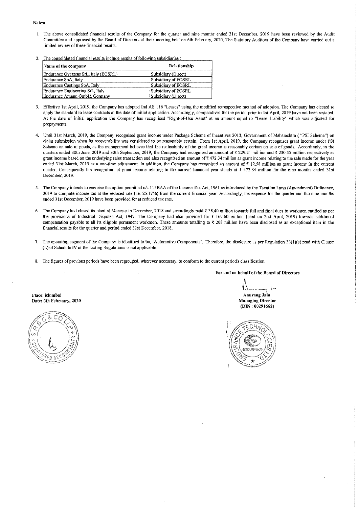- 1. The above consolidated financial results of the Company for the quarter and nine months ended 31st December, 2019 have been reviewed by the Audit Committee and approved by the Board of Directors at their meeting held on 6th February, 2020. The Statutory Auditors of the Company have carried out a limited review of these financial results.
- 2. The consolidated financial results include results of following subsidiaries :

| Name of the company                   | Relationship        |
|---------------------------------------|---------------------|
| Endurance Overseas SrL, Italy (EOSRL) | Subsidiary (Direct) |
| Endurance SpA, Italy                  | Subsidiary of EOSRL |
| Endurance Castings SpA, Italy         | Subsidiary of EOSRL |
| Endurance Engineering SrL, Italy      | Subsidiary of EOSRL |
| Endurance Amann GmbH, Germany         | Subsidiary (Direct) |

- 3. Effective 1st April, 2019, the Company has adopted Ind AS 116 "Leases" using the modified retrospective method of adoption. The Company has elected to apply the standard to lease contracts at the date of initial application. Accordingly, comparatives for the period prior to 1st April, 2019 have not been restated. At the date of initial application the Company has recognised "Right-of-Use Asset" at an amount equal to "Lease Liability" which was adjusted for prepayments.
- 4. Until 31st March, 2019, the Company recognised grant income under Package Scheme of Incentives 2013, Government of Maharashtra ( "PSI Scheme") on claim submission when its recoverability was considered to be reasonably certain. From 1st April, 2019, the Company recognises grant income under PSI Scheme on sale of goods, as the management believes that the realisability of the grant income is reasonably certain on sale of goods. Accordingly, in the quarters ended 30th June, 2019 and 30th September, 2019, the Company had recognised an amount of ₹ 229.21 million and ₹ 230.55 million respectively as grant income based on the underlying sales transaction and also recognised an amount of  $7472.34$  million as grant income relating to the sale made for the year ended 31st March, 2019 as a one-time adjustment. In addition, the Company has recognised an amount of  $\bar{\tau}$  12.58 million as grant income in the current quarter. Consequently the recognition of grant income relating to the current financial year stands at  $\bar{\tau}$  472.34 million for the nine months ended 31st December, 2019.
- 5. The Company intends to exercise the option permitted u/s 115BAA of the Income Tax Act, 1961 as introduced by the Taxation Laws (Amendment) Ordinance, 2019 to compute income tax at the reduced rate (i.e. 25.17%) from the current financial year. Accordingly, tax expense for the quarter and the nine months ended 31st December, 2019 have been provided for at reduced tax rate.
- 6. The Company had closed its plant at Manesar in December, 2018 and accordingly paid ? 38.40 million towards full and final dues to workmen entitled as per the provisions of Industrial Disputes Act, i947. The Company had also provided for ? 169.60 million (paid on 2nd April, 2019) towards additional compensation payable to all its eligible permanent workmen. These amounts totalling to  $\bar{x}$  208 million have been disclosed as an exceptional item in the financial results for the quarter and period ended 31st December, 2018.
- 7. The operating segment of the Company is identified to be, 'Automotive Components', Therefore, the disclosure as per Regulation 33(1 )(e) read with Clause (L) of Schedule IV of the Listing Regulations is not appiicable.
- 8. The figures of previous periods have been regrouped, wherever necessary, to conform to the current period's classification.

#### For and on behalf of the Board of Directors

**Anurang Jain** Managing Director (DIN:00291662)

Place: Mumbai Date: 6th February, 2020





#### Notes: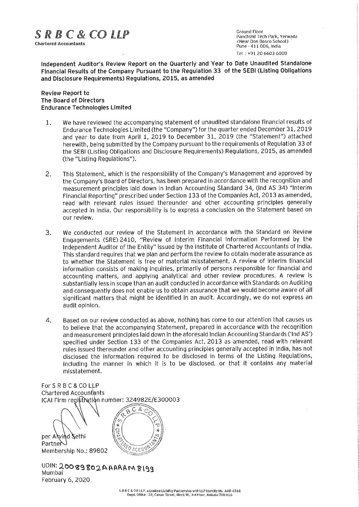

**Ground Floor** U BY U CA CHARTER BELOW BAR DON BOSCO. SCHOOL PARTICISHI LECH PAIN, YEN<br>Chartered Accountants<br>Pune : 411 ODG India Pune -411 006, India Tel :+91 20 6603 6000

Independent Auditor's Review Report on the Quarterly and Year to Date Unaudited Standalone Financial Results of the Company Pursuant to the Regulation 33 of the SEBI (Listing Obligations and Disclosure Requirements) Regulations, 2015, as amended

#### Review Report to The Board of Directors Endurance Technologies Limited

- 1. We have reviewed the accompanying statement of unaudited standalone financial results of Endurance Technologies Limited (the "Company") for the quarter ended December 31, 2019 and year to date from April 1, 2019 to December 31, 2019 (the "Statement") attached herewith, being submitted by the Company pursuant to the requirements of Regulation 33 of the SEBt (Listing Obligations and Disclosure Requirements) Regulations, 2015, as amended (the "Listing Regulations").
- 2. This Statement, which is the responsibility of the Company's Management and approved by the Company's Board of Directors, has been prepared in accordance with the recognition and measurement principles laid down in Indian Accounting Standard 34, (!nd AS 34) "interim Financial Reporting" prescribed under Section 133 of the Companies Act, 2013 as amended, read with relevant rules issued thereunder and other accounting principles generally accepted in India. Our responsibility is to express a conclusion on the Statement based on our review.
- 3. We conducted our review of the Statement in accordance with the Standard on Review Engagements (SRE) 2410, "Review of Interim Financial Information Performed by the Independent Auditor of the Entity" issued by the institute of Chartered Accountants of India. This standard requires that we plan and perform the review to obtain moderate assurance as to whether the Statement is free of material misstatement. A review of interim financiai information consists of making inquiries, primarily of persons responsible for financial and accounting matters, and applying analytical and other review procedures. A review is substantially less in scope than an audit conducted in accordance with Standards on Auditing and consequently does not enable us to obtain assurance that we would become aware of all significant matters that might be identified in an audit. Accordingly, we do not express an audit opinion.
- 4. Based on our review conducted as above, nothing has come to our attention that causes us to believe that the accompanying Statement, prepared in accordance with the recognition and measurement principles laid down in the aforesaid Indian Accounting Standards ('Ind AS') specified under Section 133 of the Companies Act, 2013 as amended, read with relevant rules issued thereunder and other accounting principles generally accepted in India, has not disclosed the information required to be disclosed in terms of the Listing Regulations, including the manner in which it is to be disclosed, or that it contains any material misstatement.

For S R B C & CO LLP Chartered Accountants ICAI Firm registration number: 324982E/E300003

 $C$  & per Alvind Sethi Partner ED ACCON Membership No.: 89802

UDIN: 20089802AAAAAM8199 Mumbai February 6, 2020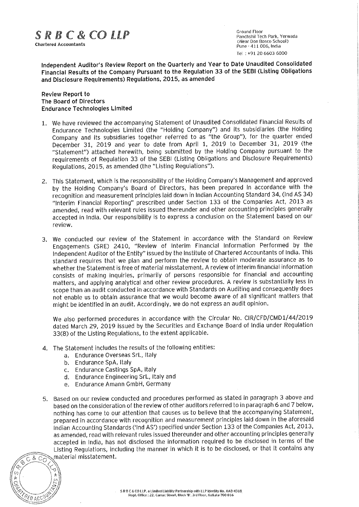

**Ground Floor** Panchshil Tech Park. Yerwada  $\mathbb{F}$  and  $\mathbb{F}$  and  $\mathbb{F}$  are  $\mathbb{F}$ . The characteristic characteristic characteristic characteristic characteristic characteristic characteristic characteristic characteristic characteristic characteristic cha Pune - 411 006. India Tel :+91 20 6603 6000

Independent Auditor's Review Report on the Quarterly and Year to Date Unaudited Consolidated Financial Results of the Company Pursuant to the Regulation 33 of the SEBI (Listing Obligations and Disclosure Requirements) Regulations, 2015, as amended

#### Review Report to The Board of Directors Endurance Technologies Limited

- 1. We have reviewed the accompanying Statement of Unaudited Consolidated Financial Results of Endurance Technologies Limited (the "Holding Company") and its subsidiaries (the Holding Company and its subsidiaries together referred to as "the Group"), for the quarter ended December 31, 2019 and year to date from April 1, 2019 to December 31, 2019 (the "Statement") attached herewith, being submitted by the Holding Company pursuant to the requirements of Regulation 33 of the SEBI (Listing Obligations and Disclosure Requirements) Regulations, 2015, as amended (the "Listing Regulations").
- 2. This Statement, which is the responsibility of the Holding Company's Management and approved by the Holding Company's Board of Directors, has been prepared in accordance with the recognition and measurement principles laid down in Indian Accounting Standard 34, (Ind AS 34) "Interim Financial Reporting" prescribed under Section 133 of the Companies Act, 2013 as amended, read with relevant rules issued thereunder and other accounting principles generally accepted in india. Our responsibility is to express a conclusion on the Statement based on our review.
- 3. We conducted our review of the Statement in accordance with the Standard on Review Engagements (SRE) 2410, "Review of Interim Financial Information Performed by the Independent Auditor of the Entity" issued by the Institute of Chartered Accountants of India. This standard requires that we plan and perform the review to obtain moderate assurance as to whether the Statement is free of material misstatement. A review of interim financial information consists of making inquiries, primarily of persons responsible for financial and accounting matters, and applying analytical and other review procedures. A review is substantially less in scope than an audit conducted in accordance with Standards on Auditing and consequently does not enable us to obtain assurance that we would become aware of ali significant matters that might be identified in an audit. Accordingly, we do not express an audit opinion.

We also performed procedures in accordance with the Circular No. CIR/CFD/CMD1/44/2019 dated March 29, 2019 issued by the Securities and Exchange Board of India under Regulation 33(8) of the Listing Reguiations, to the extent applicable.

- 4. The Statement includes the results of the following entities:
	- a. Endurance Overseas SrL, Italy
	- b. Endurance SpA, italy
	- c. Endurance Castings SpA, Italy
	- d. Endurance Engineering SrL, Italy and
	- e. Endurance Amann GmbH. Germany
- 5. Based on our review conducted and procedures performed as stated in paragraph 3 above and based on the consideration of the review of other auditors referred to in paragraph 6 and 7 below, nothing has come to our attention that causes us to believe that the accompanying Statement, prepared in accordance with recognition and measurement principies laid down in the aforesaid Indian Accounting Standards ('Ind AS') specified under Section 133 of the Companies Act, 2013, as amended, read with relevant rules issued thereunder and other accounting principles generally accepted in India, has not disclosed the information required to be disclosed in terms of the Listing Regulations, including the manner in which it is to be disdosed, or that it contains any  $\overline{\mathcal{B}}$   $\overline{\mathcal{C}}$  material misstatement.

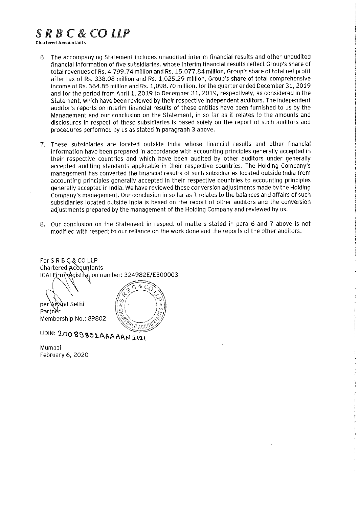# SRBC&COLLP

Chartered Accountants

- 6. The accompanying Statement includes unaudited interim financial results and other unaudited financial information of five subsidiaries, whose interim financial results reflect Group's share of total revenues of Rs. 4,799.74 million and Rs. 15,077.84 million, Group's share of total net profit after tax of Rs. 338.08 million and Rs. 1,025.29 million, Group's share of total comprehensive income of Rs. 364.85 miliion and Rs. 1,098.70 million, for the quarter ended December 31, 2019 and for the period from April 1, 2019 to December 31, 2019, respectively, as considered in the Statement, which have been reviewed by their respective independent auditors. The independent auditor's reports on interim financial results of these entities have been furnished to us by the Management and our conclusion on the Statement, in so far as it reiates to the amounts and disclosures in respect of these subsidiaries is based solely on the report of such auditors and procedures performed by us as stated in paragraph 3 above.
- 7. These subsidiaries are located outside India whose financial results and other financial information have been prepared in accordance with accounting principles generally accepted in their respective countries and which have been audited by other auditors under generally accepted auditing standards applicabie in their respective countries. The Hoiding Company's management has converted the financial results of such subsidiaries located outside India from accounting principles generally accepted in their respective countries to accounting principles generally accepted in India. We have reviewed these conversion adjustments made by the Holding Company's management. Our conclusion in so far as it relates to the balances and affairs of such subsidiaries located outside India is based on the report of other auditors and the conversion adjustments prepared by the management of the Holding Company and reviewed by us.
- 8. Our conclusion on the Statement in respect of matters stated in para 6 and 7 above is not modified with respect to our reliance on the work done and the reports of the other auditors.

For S R B C & CO LLP Chartered Accountants ICAI Firm\xegistration number: 324982E/E300003

per Anvind Sethi Partner Membership No.: 89802



UDIN: 20089802AAAAAN2121

Mumbai February 6. 2020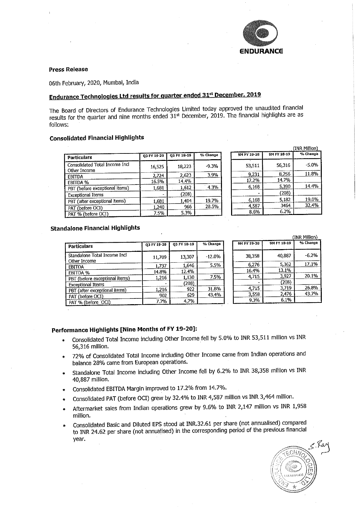

#### Press Release

06th February, 2020, Mumbai, India

## Endurance Technologies Ltd results for quarter ended 31st December, 2019

The Board of Directors of Endurance Technologies Limited today approved the unautional state of the unit sults for the quarter and nine months ended  $31$ st December, 2019. The mandal highlights are as follows:

### Consolidated Financial Highlights

| Particulars                                    | Q3 FY 19-20 | 03 FY 18-19 | % Change | 9M FY 19-20 | 9M FY 18-19 |
|------------------------------------------------|-------------|-------------|----------|-------------|-------------|
| Consolidated Total Income Incl<br>Other Income | 16,525      | 18,223      | $-9.3%$  | 53,511      | 56,316      |
| <b>EBITDA</b>                                  | 2,724       | 2,623       | 3.9%     | 9.231       | 8,256       |
| EBITDA %                                       | 16.5%       | 14.4%       |          | 17.2%       | 14.7%       |
| PBT (before exceptional items)                 | 1,681       | 1,612       | 4.3%     | 6,168       | 5,390       |
| <b>Exceptional Items</b>                       |             | (208)       |          |             | (208)       |
| PBT (after exceptional items)                  | 1,681       | 1.404       | 19.7%    | 6,168       | 5.182       |
| PAT (before OCI)                               | 1,240       | 966         | 28.5%    | 4,587       | 3464        |
| PAT % (before OCI)                             | 7.5%        | 5.3%        |          | 8.6%        | 6.2%        |

#### Standalone Financial Highlights

| Particulars                                  | 03 FY 19-20 | 03 FY 18-19 | % Change |
|----------------------------------------------|-------------|-------------|----------|
| Standalone Total Income Incl<br>Other Income | 11,709      | 13,307      | $-12.0%$ |
| <b>EBITOA</b>                                | 1.737       | 1.646       | 5.5%     |
| EBITDA %                                     | 14.8%       | 12.4%       |          |
| PBT (before exceptional items)               | 1.216       | 1.130       | 7.5%     |
| <b>Exceptional Items</b>                     |             | (208)       |          |
| PBT (after exceptional items)                | 1.216       | 922         | 31.8%    |
| PAT (before OCI)                             | 902         | 629         | 43.4%    |
| PAT % (before OCI)                           | 7.7%        | 4.7%        |          |

|             |             | (INR Million) |
|-------------|-------------|---------------|
| 9M FY 19-20 | 9M FY 18-19 | % Change      |
| 38,358      | 40,887      | $-6.2%$       |
| 6,276       | 5,362       | 17.1%         |
| 16.4%       | 13.1%       |               |
| 4.715       | 3.927       | 20.1%         |
|             | (208)       |               |
| 4,715       | 3.719       | 26.8%         |
| 3,558       | 2,476       | 43.7%         |
| 9.3%        | 6.1%        |               |

(INR Million)

"A Ghana a -5.0% 11.8%

J4,4%

 $2.40<sub>h</sub>$ 32.4%

#### Performance Highlights [Nine Months of FY 19-20]:

- e Consolidated Total Income including Other Income feH by 5.0% to INR 53,511 million vs INR 56,316 million,
- ® 72% of Consolidated Total Income including Other Income came from Indian operations and balance 28% came from European operations.
- Standalone Total Income including Other Income fell by 6.2% to INR 38,358 million vs INR 40/887 million.
- » Consolidated EBFTDA Margin improved to 17.2% from 14.7%.
- Consolidated PAT (before OCI) grew by 32.4% to INR 4,587 million vs INR 3,464 million.
- Aftermarket sales from Indian operations grew by 9.6% to INR 2,147 million vs INR 1,958 million.
- Consolidated Basic and Diluted EPS stood at INR.32.61 per share (not annualised) compared to INR 24.62 per share (not annualised) in the corresponding period of the previous financial year.